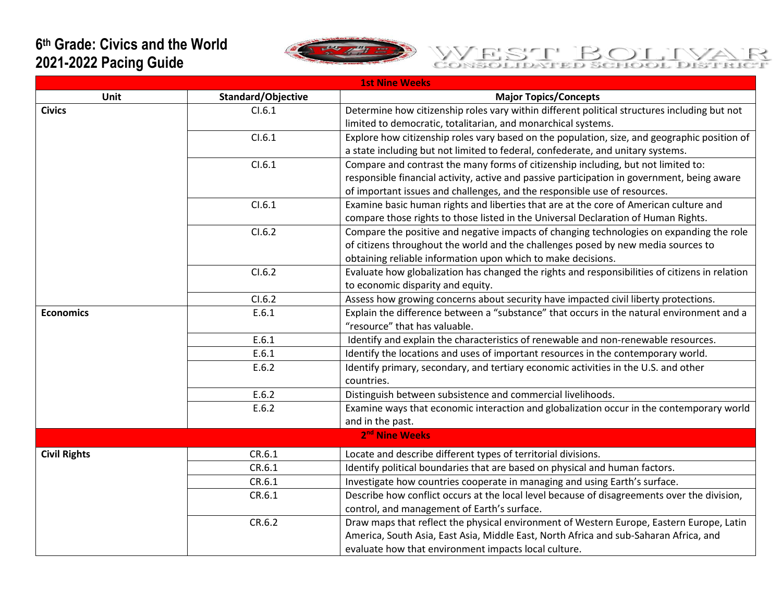## **6 th Grade: Civics and the World 2021-2022 Pacing Guide**



## WEST BOLIVA ₹

| <b>1st Nine Weeks</b>      |                    |                                                                                                |  |
|----------------------------|--------------------|------------------------------------------------------------------------------------------------|--|
| Unit                       | Standard/Objective | <b>Major Topics/Concepts</b>                                                                   |  |
| <b>Civics</b>              | Cl.6.1             | Determine how citizenship roles vary within different political structures including but not   |  |
|                            |                    | limited to democratic, totalitarian, and monarchical systems.                                  |  |
|                            | CI.6.1             | Explore how citizenship roles vary based on the population, size, and geographic position of   |  |
|                            |                    | a state including but not limited to federal, confederate, and unitary systems.                |  |
|                            | CI.6.1             | Compare and contrast the many forms of citizenship including, but not limited to:              |  |
|                            |                    | responsible financial activity, active and passive participation in government, being aware    |  |
|                            |                    | of important issues and challenges, and the responsible use of resources.                      |  |
|                            | CI.6.1             | Examine basic human rights and liberties that are at the core of American culture and          |  |
|                            |                    | compare those rights to those listed in the Universal Declaration of Human Rights.             |  |
|                            | CI.6.2             | Compare the positive and negative impacts of changing technologies on expanding the role       |  |
|                            |                    | of citizens throughout the world and the challenges posed by new media sources to              |  |
|                            |                    | obtaining reliable information upon which to make decisions.                                   |  |
|                            | CI.6.2             | Evaluate how globalization has changed the rights and responsibilities of citizens in relation |  |
|                            |                    | to economic disparity and equity.                                                              |  |
|                            | CI.6.2             | Assess how growing concerns about security have impacted civil liberty protections.            |  |
| <b>Economics</b>           | E.6.1              | Explain the difference between a "substance" that occurs in the natural environment and a      |  |
|                            |                    | "resource" that has valuable.                                                                  |  |
|                            | E.6.1              | Identify and explain the characteristics of renewable and non-renewable resources.             |  |
|                            | E.6.1              | Identify the locations and uses of important resources in the contemporary world.              |  |
|                            | E.6.2              | Identify primary, secondary, and tertiary economic activities in the U.S. and other            |  |
|                            |                    | countries.                                                                                     |  |
|                            | E.6.2              | Distinguish between subsistence and commercial livelihoods.                                    |  |
|                            | E.6.2              | Examine ways that economic interaction and globalization occur in the contemporary world       |  |
|                            |                    | and in the past.                                                                               |  |
| 2 <sup>nd</sup> Nine Weeks |                    |                                                                                                |  |
| <b>Civil Rights</b>        | CR.6.1             | Locate and describe different types of territorial divisions.                                  |  |
|                            | CR.6.1             | Identify political boundaries that are based on physical and human factors.                    |  |
|                            | CR.6.1             | Investigate how countries cooperate in managing and using Earth's surface.                     |  |
|                            | CR.6.1             | Describe how conflict occurs at the local level because of disagreements over the division,    |  |
|                            |                    | control, and management of Earth's surface.                                                    |  |
|                            | CR.6.2             | Draw maps that reflect the physical environment of Western Europe, Eastern Europe, Latin       |  |
|                            |                    | America, South Asia, East Asia, Middle East, North Africa and sub-Saharan Africa, and          |  |
|                            |                    | evaluate how that environment impacts local culture.                                           |  |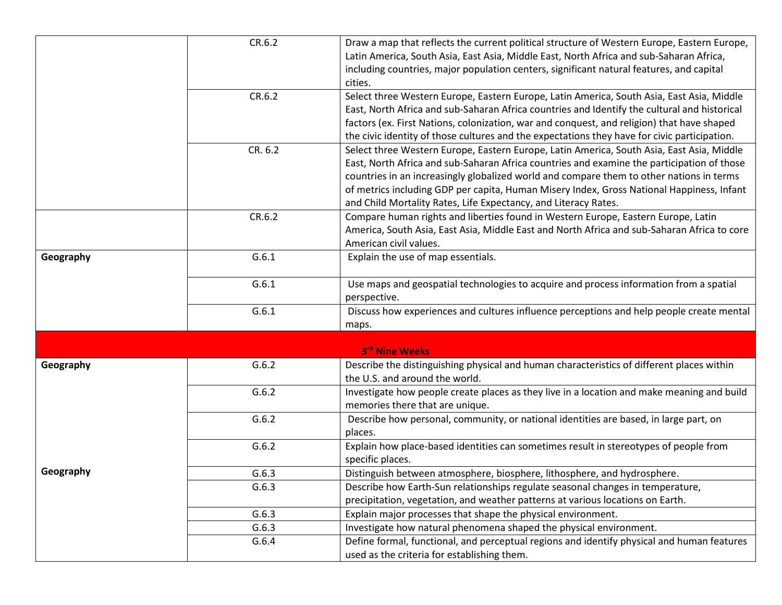|           | CR.6.2  | Draw a map that reflects the current political structure of Western Europe, Eastern Europe,  |
|-----------|---------|----------------------------------------------------------------------------------------------|
|           |         | Latin America, South Asia, East Asia, Middle East, North Africa and sub-Saharan Africa,      |
|           |         | including countries, major population centers, significant natural features, and capital     |
|           |         | cities.                                                                                      |
|           | CR.6.2  | Select three Western Europe, Eastern Europe, Latin America, South Asia, East Asia, Middle    |
|           |         | East, North Africa and sub-Saharan Africa countries and Identify the cultural and historical |
|           |         | factors (ex. First Nations, colonization, war and conquest, and religion) that have shaped   |
|           |         | the civic identity of those cultures and the expectations they have for civic participation. |
|           | CR. 6.2 | Select three Western Europe, Eastern Europe, Latin America, South Asia, East Asia, Middle    |
|           |         | East, North Africa and sub-Saharan Africa countries and examine the participation of those   |
|           |         | countries in an increasingly globalized world and compare them to other nations in terms     |
|           |         | of metrics including GDP per capita, Human Misery Index, Gross National Happiness, Infant    |
|           |         | and Child Mortality Rates, Life Expectancy, and Literacy Rates.                              |
|           | CR.6.2  | Compare human rights and liberties found in Western Europe, Eastern Europe, Latin            |
|           |         | America, South Asia, East Asia, Middle East and North Africa and sub-Saharan Africa to core  |
|           |         | American civil values.                                                                       |
| Geography | G.6.1   | Explain the use of map essentials.                                                           |
|           | G.6.1   | Use maps and geospatial technologies to acquire and process information from a spatial       |
|           |         | perspective.                                                                                 |
|           | G.6.1   | Discuss how experiences and cultures influence perceptions and help people create mental     |
|           |         | maps.                                                                                        |
|           |         |                                                                                              |
|           |         | 3rd Nine Weeks                                                                               |
| Geography | G.6.2   | Describe the distinguishing physical and human characteristics of different places within    |
|           |         | the U.S. and around the world.                                                               |
|           | G.6.2   | Investigate how people create places as they live in a location and make meaning and build   |
|           |         | memories there that are unique.                                                              |
|           | G.6.2   | Describe how personal, community, or national identities are based, in large part, on        |
|           |         | places.                                                                                      |
|           | G.6.2   | Explain how place-based identities can sometimes result in stereotypes of people from        |
|           |         | specific places.                                                                             |
| Geography | G.6.3   | Distinguish between atmosphere, biosphere, lithosphere, and hydrosphere.                     |
|           | G.6.3   | Describe how Earth-Sun relationships regulate seasonal changes in temperature,               |
|           |         | precipitation, vegetation, and weather patterns at various locations on Earth.               |
|           | G.6.3   | Explain major processes that shape the physical environment.                                 |
|           | G.6.3   | Investigate how natural phenomena shaped the physical environment.                           |
|           | G.6.4   | Define formal, functional, and perceptual regions and identify physical and human features   |
|           |         | used as the criteria for establishing them.                                                  |